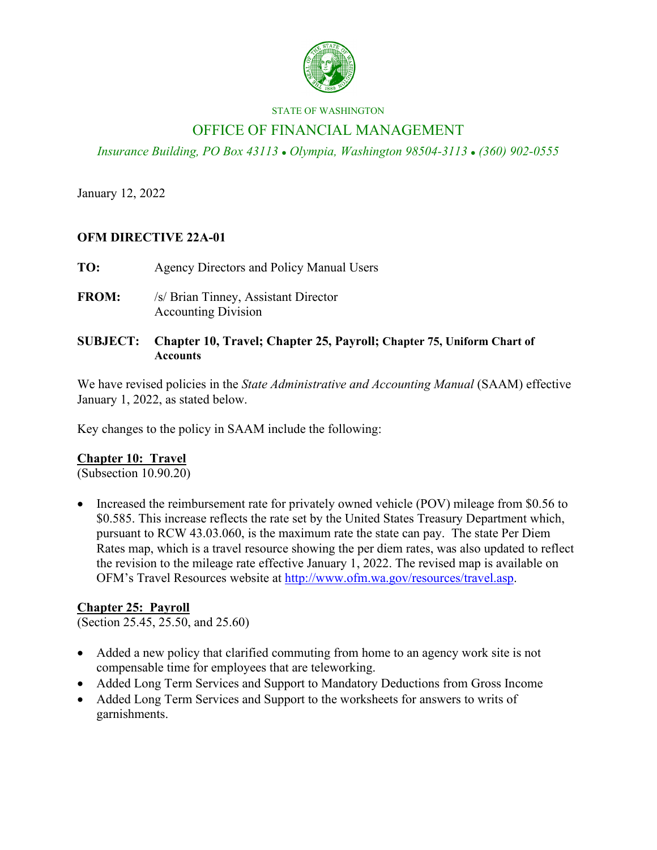

#### STATE OF WASHINGTON

# OFFICE OF FINANCIAL MANAGEMENT

*Insurance Building, PO Box 43113 Olympia, Washington 98504-3113 (360) 902-0555*

January 12, 2022

## **OFM DIRECTIVE 22A-01**

- **TO:** Agency Directors and Policy Manual Users
- **FROM:** /s/ Brian Tinney, Assistant Director Accounting Division
- **SUBJECT: Chapter 10, Travel; Chapter 25, Payroll; Chapter 75, Uniform Chart of Accounts**

We have revised policies in the *State Administrative and Accounting Manual* (SAAM) effective January 1, 2022, as stated below.

Key changes to the policy in SAAM include the following:

## **Chapter 10: Travel**

(Subsection 10.90.20)

• Increased the reimbursement rate for privately owned vehicle (POV) mileage from \$0.56 to \$0.585. This increase reflects the rate set by the United States Treasury Department which, pursuant to RCW 43.03.060, is the maximum rate the state can pay. The state Per Diem Rates map, which is a travel resource showing the per diem rates, was also updated to reflect the revision to the mileage rate effective January 1, 2022. The revised map is available on OFM's Travel Resources website at [http://www.ofm.wa.gov/resources/travel.asp.](http://www.ofm.wa.gov/resources/travel.asp)

## **Chapter 25: Payroll**

(Section 25.45, 25.50, and 25.60)

- Added a new policy that clarified commuting from home to an agency work site is not compensable time for employees that are teleworking.
- Added Long Term Services and Support to Mandatory Deductions from Gross Income
- Added Long Term Services and Support to the worksheets for answers to writs of garnishments.